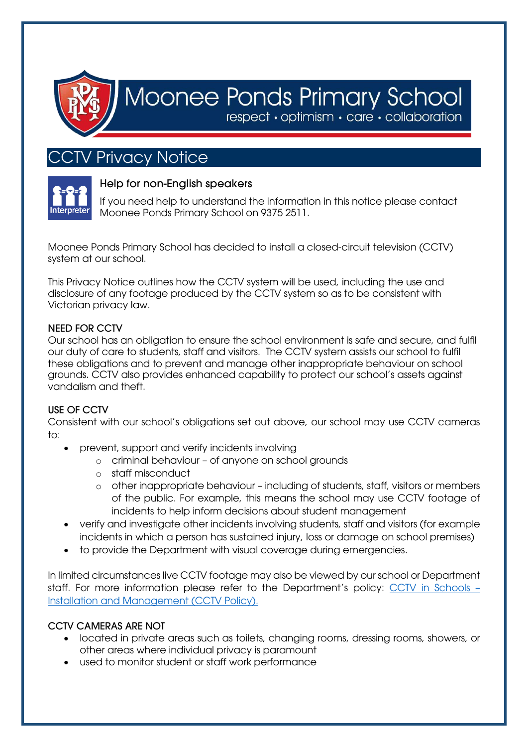

# Moonee Ponds Primary School

respect · optimism · care · collaboration

# CTV Privacy Notice



# Help for non-English speakers

If you need help to understand the information in this notice please contact Moonee Ponds Primary School on 9375 2511.

Moonee Ponds Primary School has decided to install a closed-circuit television (CCTV) system at our school.

This Privacy Notice outlines how the CCTV system will be used, including the use and disclosure of any footage produced by the CCTV system so as to be consistent with Victorian privacy law.

### NEED FOR CCTV

Our school has an obligation to ensure the school environment is safe and secure, and fulfil our duty of care to students, staff and visitors. The CCTV system assists our school to fulfil these obligations and to prevent and manage other inappropriate behaviour on school grounds. CCTV also provides enhanced capability to protect our school's assets against vandalism and theft.

### USE OF CCTV

Consistent with our school's obligations set out above, our school may use CCTV cameras to:

- prevent, support and verify incidents involving
	- o criminal behaviour of anyone on school grounds
	- o staff misconduct
	- o other inappropriate behaviour including of students, staff, visitors or members of the public. For example, this means the school may use CCTV footage of incidents to help inform decisions about student management
- verify and investigate other incidents involving students, staff and visitors (for example incidents in which a person has sustained injury, loss or damage on school premises)
- to provide the Department with visual coverage during emergencies.

In limited circumstances live CCTV footage may also be viewed by our school or Department staff. For more information please refer to the Department's policy: [CCTV in Schools](https://www2.education.vic.gov.au/pal/cctv-in-schools/policy) – [Installation and Management](https://www2.education.vic.gov.au/pal/cctv-in-schools/policy) (CCTV Policy).

### CCTV CAMERAS ARE NOT

- located in private areas such as toilets, changing rooms, dressing rooms, showers, or other areas where individual privacy is paramount
- used to monitor student or staff work performance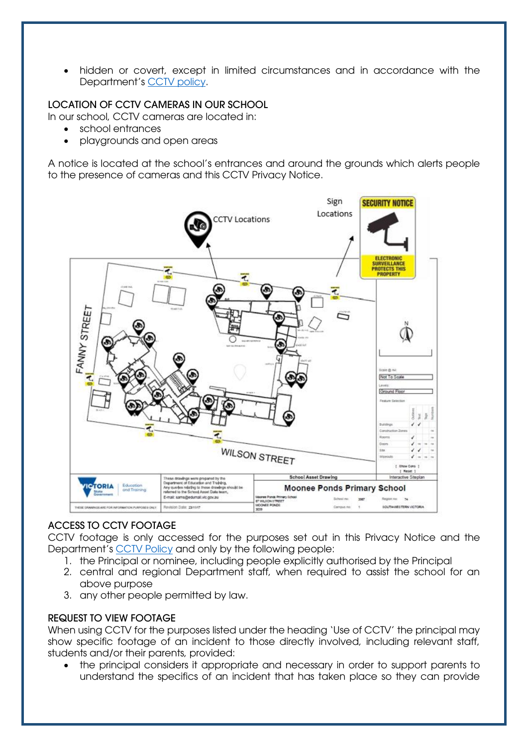• hidden or covert, except in limited circumstances and in accordance with the Department's [CCTV policy.](https://www2.education.vic.gov.au/pal/cctv-in-schools/policy)

## LOCATION OF CCTV CAMERAS IN OUR SCHOOL

In our school, CCTV cameras are located in:

- school entrances
- playgrounds and open areas

A notice is located at the school's entrances and around the grounds which alerts people to the presence of cameras and this CCTV Privacy Notice.



### ACCESS TO CCTV FOOTAGE

CCTV footage is only accessed for the purposes set out in this Privacy Notice and the Department's [CCTV Policy](https://www2.education.vic.gov.au/pal/cctv-in-schools/policy) and only by the following people:

- 1. the Principal or nominee, including people explicitly authorised by the Principal
- 2. central and regional Department staff, when required to assist the school for an above purpose
- 3. any other people permitted by law.

#### REQUEST TO VIEW FOOTAGE

When using CCTV for the purposes listed under the heading 'Use of CCTV' the principal may show specific footage of an incident to those directly involved, including relevant staff, students and/or their parents, provided:

• the principal considers it appropriate and necessary in order to support parents to understand the specifics of an incident that has taken place so they can provide